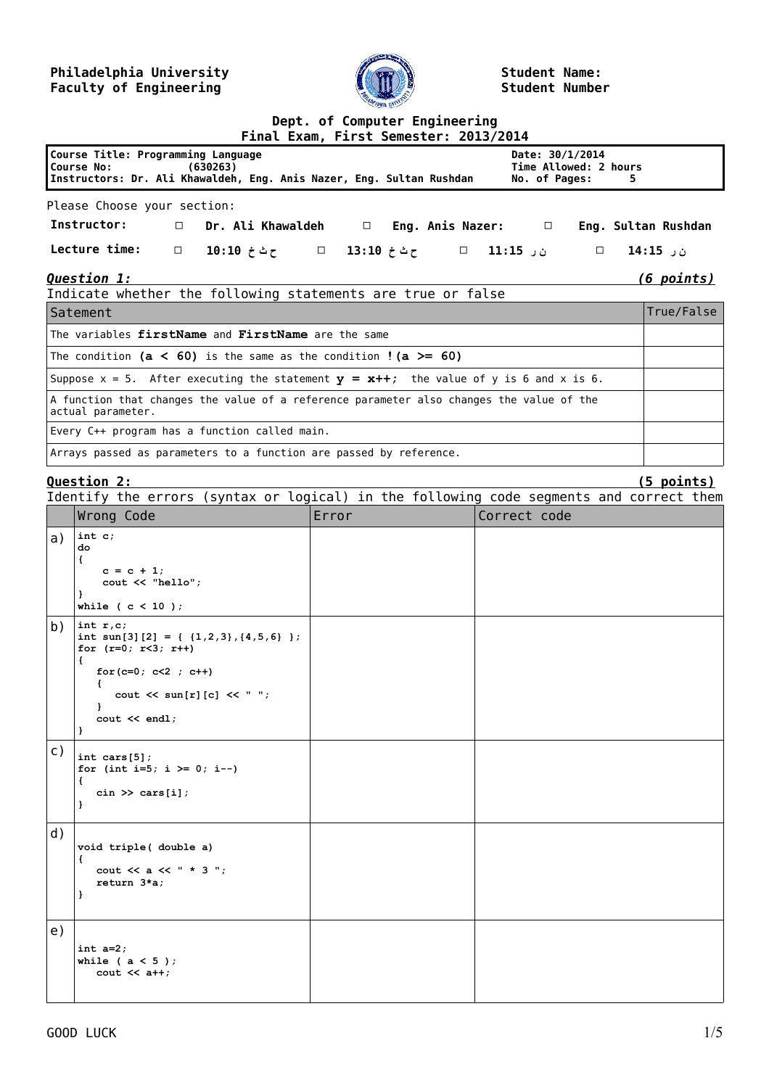### **Philadelphia University Faculty of Engineering**



**Student Name: Student Number**

| Dept. of Computer Engineering<br>Final Exam, First Semester: 2013/2014                                                                                                                                  |                                                                                                                                                                                                                         |                                       |              |                   |  |  |  |  |
|---------------------------------------------------------------------------------------------------------------------------------------------------------------------------------------------------------|-------------------------------------------------------------------------------------------------------------------------------------------------------------------------------------------------------------------------|---------------------------------------|--------------|-------------------|--|--|--|--|
| Course Title: Programming Language<br>Date: 30/1/2014<br>Time Allowed: 2 hours<br>Course No:<br>(630263)<br>Instructors: Dr. Ali Khawaldeh, Eng. Anis Nazer, Eng. Sultan Rushdan<br>No. of Pages:<br>5. |                                                                                                                                                                                                                         |                                       |              |                   |  |  |  |  |
| Please Choose your section:                                                                                                                                                                             |                                                                                                                                                                                                                         |                                       |              |                   |  |  |  |  |
|                                                                                                                                                                                                         | Instructor:<br>Dr. Ali Khawaldeh □ Eng. Anis Nazer: □ Eng. Sultan Rushdan<br>$\Box$                                                                                                                                     |                                       |              |                   |  |  |  |  |
|                                                                                                                                                                                                         | Lecture time:<br>$\Box$                                                                                                                                                                                                 | ن ر 11:15 □ ح ث خ 13:10 □ ح ث خ 10:10 | $\Box$       | ن ر 15:15         |  |  |  |  |
| <b>Question 1:</b><br><u>(6 points)</u>                                                                                                                                                                 |                                                                                                                                                                                                                         |                                       |              |                   |  |  |  |  |
| Indicate whether the following statements are true or false<br>True/False<br>Satement                                                                                                                   |                                                                                                                                                                                                                         |                                       |              |                   |  |  |  |  |
| The variables firstName and FirstName are the same                                                                                                                                                      |                                                                                                                                                                                                                         |                                       |              |                   |  |  |  |  |
|                                                                                                                                                                                                         | The condition ( $a < 60$ ) is the same as the condition ! ( $a > = 60$ )                                                                                                                                                |                                       |              |                   |  |  |  |  |
|                                                                                                                                                                                                         | Suppose $x = 5$ . After executing the statement $y = x++$ ; the value of y is 6 and x is 6.                                                                                                                             |                                       |              |                   |  |  |  |  |
|                                                                                                                                                                                                         | A function that changes the value of a reference parameter also changes the value of the<br>actual parameter.                                                                                                           |                                       |              |                   |  |  |  |  |
|                                                                                                                                                                                                         | Every C++ program has a function called main.                                                                                                                                                                           |                                       |              |                   |  |  |  |  |
|                                                                                                                                                                                                         | Arrays passed as parameters to a function are passed by reference.                                                                                                                                                      |                                       |              |                   |  |  |  |  |
|                                                                                                                                                                                                         | Ouestion 2:                                                                                                                                                                                                             |                                       |              | <u>(5 points)</u> |  |  |  |  |
|                                                                                                                                                                                                         | Identify the errors (syntax or logical) in the following code segments and correct them                                                                                                                                 |                                       |              |                   |  |  |  |  |
|                                                                                                                                                                                                         | Wrong Code                                                                                                                                                                                                              | Error                                 | Correct code |                   |  |  |  |  |
| a)                                                                                                                                                                                                      | int c;<br>do<br>€<br>$c = c + 1;$<br>cout << "hello";<br>}<br>while ( $c < 10$ );                                                                                                                                       |                                       |              |                   |  |  |  |  |
| b)                                                                                                                                                                                                      | int $r, c$ ;<br>int sun[3][2] = { $\{1,2,3\}$ , {4,5,6} };<br>for $(r=0; r<3; r++)$<br>€<br>for $(c=0; c<2; c++)$<br>$\left\{ \right.$<br>cout $\lt\lt$ sun[r][c] $\lt\lt$ " ";<br>1<br>$\cot \lt < \text{endl}$ ;<br>} |                                       |              |                   |  |  |  |  |
| C)                                                                                                                                                                                                      | int cars $[5]$ ;<br>for (int i=5; i >= 0; i--)<br>€<br>$\sin \gg \text{cars}[i];$<br>}                                                                                                                                  |                                       |              |                   |  |  |  |  |
| d)                                                                                                                                                                                                      | void triple( double a)<br>€<br>cout $<< a << " * 3"$ ;<br>return 3*a;<br>}                                                                                                                                              |                                       |              |                   |  |  |  |  |
| e)                                                                                                                                                                                                      | int $a=2$ ;<br>while ( $a < 5$ );<br>$\cot < 1$                                                                                                                                                                         |                                       |              |                   |  |  |  |  |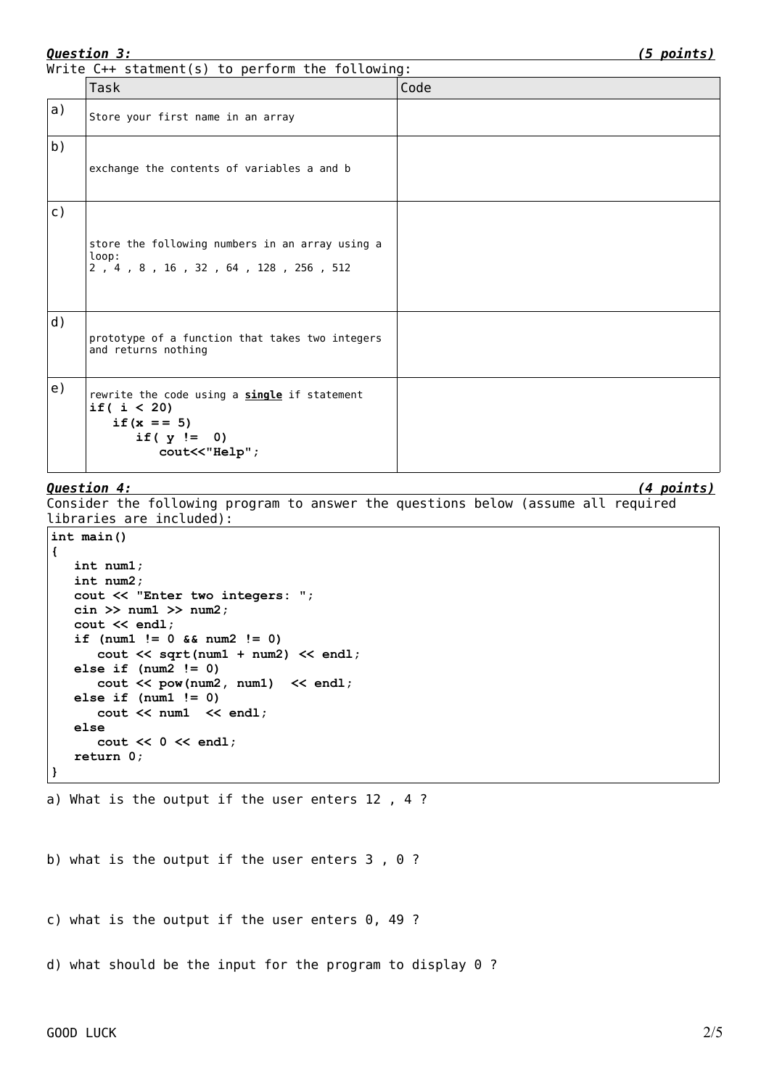| <u>Question 3:</u> | <u>(5 points)</u>                                                                                                 |      |  |  |  |  |
|--------------------|-------------------------------------------------------------------------------------------------------------------|------|--|--|--|--|
|                    | Write C++ statment(s) to perform the following:                                                                   |      |  |  |  |  |
|                    | Task                                                                                                              | Code |  |  |  |  |
| a)                 | Store your first name in an array                                                                                 |      |  |  |  |  |
| b)                 | exchange the contents of variables a and b                                                                        |      |  |  |  |  |
| $\mathsf{C}$ )     | store the following numbers in an array using a<br>loop:<br>2, 4, 8, 16, 32, 64, 128, 256, 512                    |      |  |  |  |  |
| d)                 | prototype of a function that takes two integers<br>and returns nothing                                            |      |  |  |  |  |
| e)                 | rewrite the code using a single if statement<br>if( $i < 20$ )<br>if $(x == 5)$<br>if $(y := 0)$<br>cout<<"Help"; |      |  |  |  |  |

## *Question 4: (4 points)*

Consider the following program to answer the questions below (assume all required libraries are included):

```
int main()
{
    int num1;
    int num2;
    cout << "Enter two integers: ";
    cin >> num1 >> num2;
    cout << endl;
    if (num1 != 0 && num2 != 0)
       cout << sqrt(num1 + num2) << endl;
    else if (num2 != 0)
       cout << pow(num2, num1) << endl;
    else if (num1 != 0)
       cout << num1 << endl;
    else
       cout << 0 << endl;
    return 0;
}
```
a) What is the output if the user enters 12, 4?

b) what is the output if the user enters 3 , 0 ?

c) what is the output if the user enters 0, 49 ?

d) what should be the input for the program to display 0 ?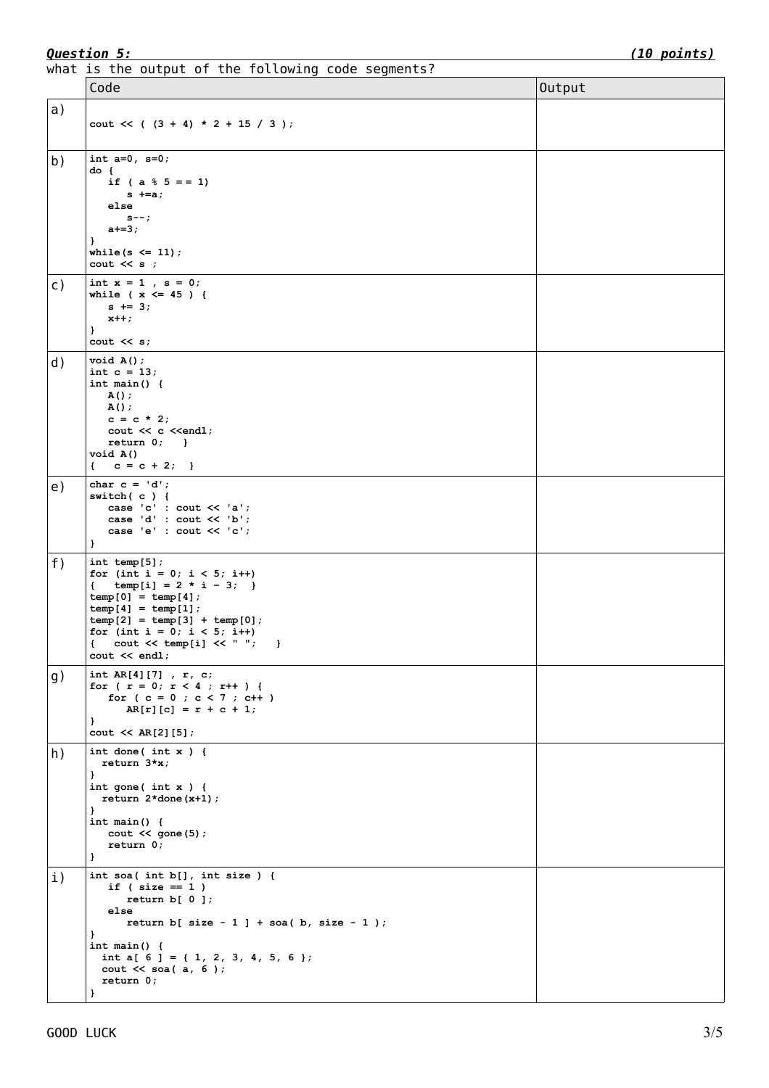what is the output of the following code segments?

|                | Code                                                                                                                                                                                                                                                                                                                    | Output |
|----------------|-------------------------------------------------------------------------------------------------------------------------------------------------------------------------------------------------------------------------------------------------------------------------------------------------------------------------|--------|
| a)             | cout $<<$ ( $(3 + 4) * 2 + 15 / 3$ );                                                                                                                                                                                                                                                                                   |        |
| b)             | int $a=0$ , $s=0$ ;<br>do {<br>if ( $a \tbinom{8}{5} = 1$ )<br>$s$ +=a;<br>else<br>$s--;$<br>$a+=3;$<br>}<br>while $(s \leq 11)$ ;<br>$\cot \lt \lt s$ ;                                                                                                                                                                |        |
| $\mathsf{C}$ ) | int $x = 1$ , $s = 0$ ;<br>while ( $x \le 45$ ) {<br>$s$ += 3;<br>$x++;$<br>$\mathbf{I}$<br>$\cot \leftarrow s$ ;                                                                                                                                                                                                       |        |
| d)             | void A()<br>int $c = 13$ ;<br>int main() $\{$<br>A();<br>A();<br>$c = c * 2;$<br>cout << c << endl;<br>$return 0;$ }<br>void A()<br>$c = c + 2;$<br>€                                                                                                                                                                   |        |
| e)             | char $c = 'd';$<br>switch( $c$ ) {<br>case 'c' : cout $\lt\lt$ 'a';<br>case 'd' : cout << 'b';<br>case 'e' : cout $\lt\lt'$ 'c';<br>$\mathbf{r}$                                                                                                                                                                        |        |
| f)             | int temp $[5]$ ;<br>for (int i = 0; i < 5; i++)<br>temp[i] = $2 * i - 3;$ }<br>$\left\{ \quad \right.$<br>$temp[0] = temp[4];$<br>$temp[4] = temp[1];$<br>$temp[2] = temp[3] + temp[0];$<br>for (int i = 0; i < 5; i++)<br>€<br>cout $\lt\lt$ temp[i] $\lt\lt$ " ";<br>$\overline{1}$<br>$\text{cut} \ll \text{endl}$ ; |        |
| g)             | int AR[4][7], $r, c;$<br>for ( $r = 0$ ; $r < 4$ ; $r++$ ) {<br>for $(c = 0; c < 7; c++)$<br>$AR[r][c] = r + c + 1;$<br>}<br>$\text{cut} \ll \text{AR}[2][5];$                                                                                                                                                          |        |
| h)             | int done(int $x$ ) {<br>return $3*x;$<br>-1<br>$int \text{ gone}(\text{int } x)$ {<br>return $2 *$ done $(x+1)$ ;<br>}<br>int main() $\{$<br>$\text{cut} \ll \text{gone} (5)$ ;<br>return 0;<br>$\mathbf{r}$                                                                                                            |        |
| $\mathbf{i}$ ) | int soa( int $b[]$ , int size ) {<br>if ( $size == 1$ )<br>return $b[0]$ ;<br>else<br>return $b[ size - 1 ] + soa( b, size - 1 )$ ;<br>ł<br>int main() $\{$<br>int a[ $6$ ] = { 1, 2, 3, 4, 5, 6 };<br>cout $\lt\lt$ soa(a, 6);<br>return 0;                                                                            |        |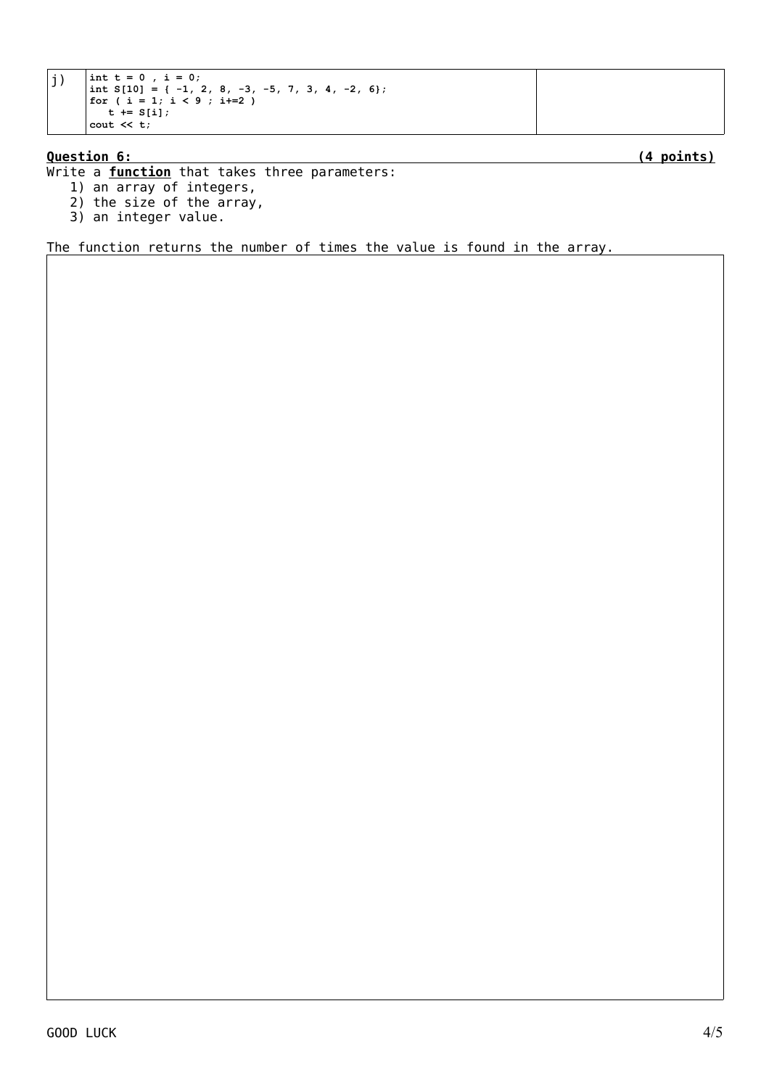```
j) \begin{array}{|l|} \n\text{int } t = 0, \text{ i } = 0; \\
\text{int } S[10] = \{-1, 2, 8, -3, -5, 7, 3, 4, -2, 6\};\n\end{array}for ( i = 1; i < 9 ; i+=2 )
            t := S[i];cout << t;
```
## **Question 6: (4 points)**

Write a **function** that takes three parameters:

- 1) an array of integers,
- 2) the size of the array,
- 3) an integer value.

The function returns the number of times the value is found in the array.